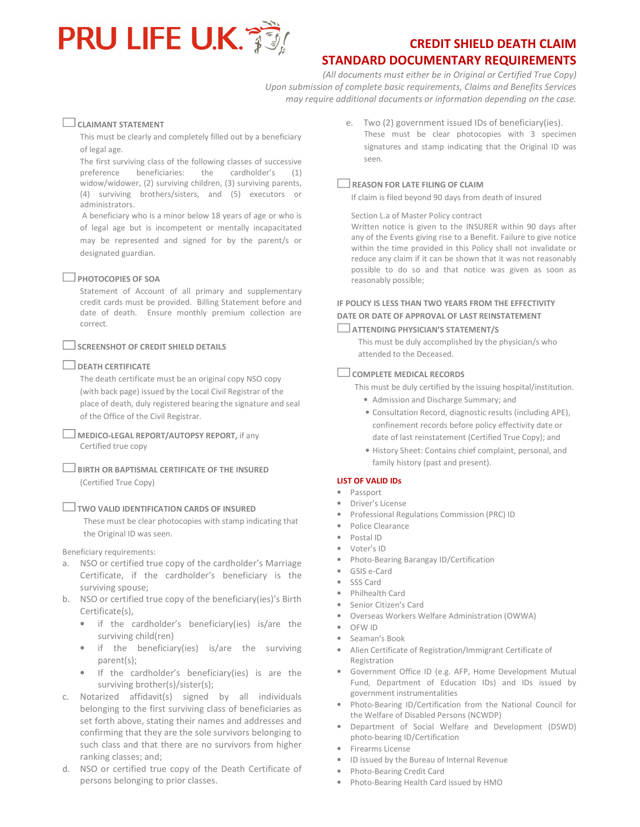

# STANDARD DOCUMENTARY REQUIREMENTS

(All documents must either be in Original or Certified True Copy) Upon submission of complete basic requirements, Claims and Benefits Services may require additional documents or information depending on the case.

## $\Box$  CLAIMANT STATEMENT

This must be clearly and completely filled out by a beneficiary of legal age.

The first surviving class of the following classes of successive preference beneficiaries: the cardholder's (1) widow/widower, (2) surviving children, (3) surviving parents, (4) surviving brothers/sisters, and (5) executors or administrators.

 A beneficiary who is a minor below 18 years of age or who is of legal age but is incompetent or mentally incapacitated may be represented and signed for by the parent/s or designated guardian.

### $\Box$  PHOTOCOPIES OF SOA

Statement of Account of all primary and supplementary credit cards must be provided. Billing Statement before and date of death. Ensure monthly premium collection are correct.

# $\Box$  SCREENSHOT OF CREDIT SHIELD DETAILS

#### $\Box$  DEATH CERTIFICATE

The death certificate must be an original copy NSO copy (with back page) issued by the Local Civil Registrar of the place of death, duly registered bearing the signature and seal of the Office of the Civil Registrar.

MEDICO-LEGAL REPORT/AUTOPSY REPORT, if any Certified true copy

BIRTH OR BAPTISMAL CERTIFICATE OF THE INSURED (Certified True Copy)

#### TWO VALID IDENTIFICATION CARDS OF INSURED

These must be clear photocopies with stamp indicating that the Original ID was seen.

Beneficiary requirements:

- a. NSO or certified true copy of the cardholder's Marriage Certificate, if the cardholder's beneficiary is the surviving spouse;
- b. NSO or certified true copy of the beneficiary(ies)'s Birth Certificate(s),
	- if the cardholder's beneficiary(ies) is/are the surviving child(ren)
	- if the beneficiary(ies) is/are the surviving parent(s);
	- If the cardholder's beneficiary(ies) is are the surviving brother(s)/sister(s);
- c. Notarized affidavit(s) signed by all individuals belonging to the first surviving class of beneficiaries as set forth above, stating their names and addresses and confirming that they are the sole survivors belonging to such class and that there are no survivors from higher ranking classes; and;
- d. NSO or certified true copy of the Death Certificate of persons belonging to prior classes.

e. Two (2) government issued IDs of beneficiary(ies). These must be clear photocopies with 3 specimen signatures and stamp indicating that the Original ID was seen.

# REASON FOR LATE FILING OF CLAIM

If claim is filed beyond 90 days from death of Insured

#### Section L.a of Master Policy contract

Written notice is given to the INSURER within 90 days after any of the Events giving rise to a Benefit. Failure to give notice within the time provided in this Policy shall not invalidate or reduce any claim if it can be shown that it was not reasonably possible to do so and that notice was given as soon as reasonably possible;

# IF POLICY IS LESS THAN TWO YEARS FROM THE EFFECTIVITY DATE OR DATE OF APPROVAL OF LAST REINSTATEMENT

#### ATTENDING PHYSICIAN'S STATEMENT/S

This must be duly accomplished by the physician/s who attended to the Deceased.

## $\Box$  COMPLETE MEDICAL RECORDS

This must be duly certified by the issuing hospital/institution.

- Admission and Discharge Summary; and
- Consultation Record, diagnostic results (including APE), confinement records before policy effectivity date or date of last reinstatement (Certified True Copy); and
- History Sheet: Contains chief complaint, personal, and family history (past and present).

#### LIST OF VALID IDs

## • Passport

- Driver's License
- Professional Regulations Commission (PRC) ID
- Police Clearance
- Postal ID
- Voter's ID
- Photo-Bearing Barangay ID/Certification
- GSIS e-Card
- SSS Card
- Philhealth Card
- Senior Citizen's Card
- Overseas Workers Welfare Administration (OWWA)
- OFW ID
- Seaman's Book
- Alien Certificate of Registration/Immigrant Certificate of Registration
- Government Office ID (e.g. AFP, Home Development Mutual Fund, Department of Education IDs) and IDs issued by government instrumentalities
- Photo-Bearing ID/Certification from the National Council for the Welfare of Disabled Persons (NCWDP)
- Department of Social Welfare and Development (DSWD) photo-bearing ID/Certification
- Firearms License
- ID issued by the Bureau of Internal Revenue
- Photo-Bearing Credit Card
- Photo-Bearing Health Card issued by HMO